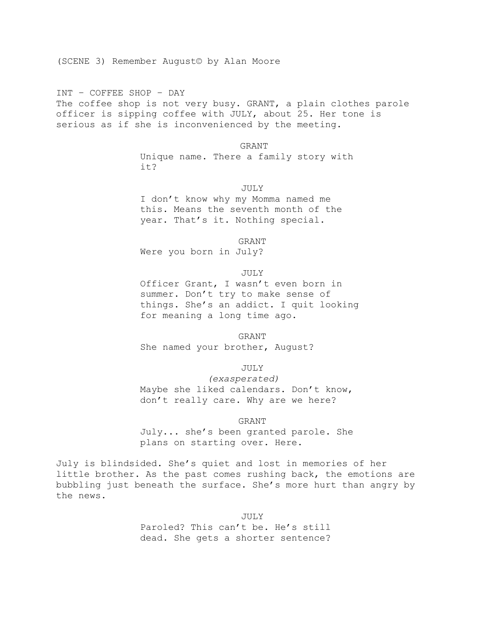(SCENE 3) Remember August© by Alan Moore

INT – COFFEE SHOP – DAY The coffee shop is not very busy. GRANT, a plain clothes parole officer is sipping coffee with JULY, about 25. Her tone is serious as if she is inconvenienced by the meeting.

> GRANT Unique name. There a family story with it?

> > JULY

I don't know why my Momma named me this. Means the seventh month of the year. That's it. Nothing special.

GRANT

Were you born in July?

## JULY

Officer Grant, I wasn't even born in summer. Don't try to make sense of things. She's an addict. I quit looking for meaning a long time ago.

GRANT She named your brother, August?

JULY

*(exasperated)* Maybe she liked calendars. Don't know, don't really care. Why are we here?

GRANT

July... she's been granted parole. She plans on starting over. Here.

July is blindsided. She's quiet and lost in memories of her little brother. As the past comes rushing back, the emotions are bubbling just beneath the surface. She's more hurt than angry by the news.

> JULY Paroled? This can't be. He's still dead. She gets a shorter sentence?